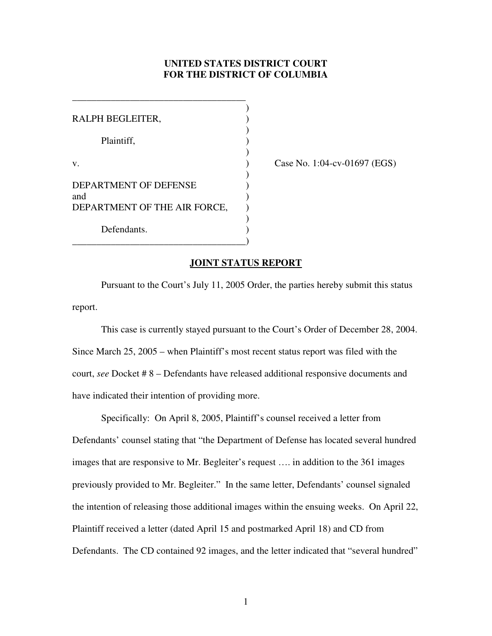## **UNITED STATES DISTRICT COURT FOR THE DISTRICT OF COLUMBIA**

| RALPH BEGLEITER,                    |  |
|-------------------------------------|--|
| Plaintiff,                          |  |
| v.                                  |  |
| <b>DEPARTMENT OF DEFENSE</b><br>and |  |
| DEPARTMENT OF THE AIR FORCE,        |  |
| Defendants.                         |  |

\_\_\_\_\_\_\_\_\_\_\_\_\_\_\_\_\_\_\_\_\_\_\_\_\_\_\_\_\_\_\_\_\_\_\_\_

Case No. 1:04-cv-01697 (EGS)

## **JOINT STATUS REPORT**

Pursuant to the Court's July 11, 2005 Order, the parties hereby submit this status report.

This case is currently stayed pursuant to the Court's Order of December 28, 2004. Since March 25, 2005 – when Plaintiff's most recent status report was filed with the court, *see* Docket # 8 – Defendants have released additional responsive documents and have indicated their intention of providing more.

Specifically: On April 8, 2005, Plaintiff's counsel received a letter from Defendants' counsel stating that "the Department of Defense has located several hundred images that are responsive to Mr. Begleiter's request …. in addition to the 361 images previously provided to Mr. Begleiter." In the same letter, Defendants' counsel signaled the intention of releasing those additional images within the ensuing weeks. On April 22, Plaintiff received a letter (dated April 15 and postmarked April 18) and CD from Defendants. The CD contained 92 images, and the letter indicated that "several hundred"

1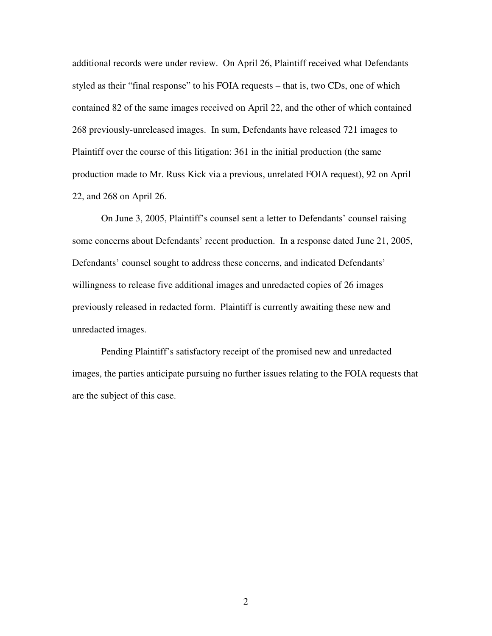additional records were under review. On April 26, Plaintiff received what Defendants styled as their "final response" to his FOIA requests – that is, two CDs, one of which contained 82 of the same images received on April 22, and the other of which contained 268 previously-unreleased images. In sum, Defendants have released 721 images to Plaintiff over the course of this litigation: 361 in the initial production (the same production made to Mr. Russ Kick via a previous, unrelated FOIA request), 92 on April 22, and 268 on April 26.

On June 3, 2005, Plaintiff's counsel sent a letter to Defendants' counsel raising some concerns about Defendants' recent production. In a response dated June 21, 2005, Defendants' counsel sought to address these concerns, and indicated Defendants' willingness to release five additional images and unredacted copies of 26 images previously released in redacted form. Plaintiff is currently awaiting these new and unredacted images.

Pending Plaintiff's satisfactory receipt of the promised new and unredacted images, the parties anticipate pursuing no further issues relating to the FOIA requests that are the subject of this case.

2